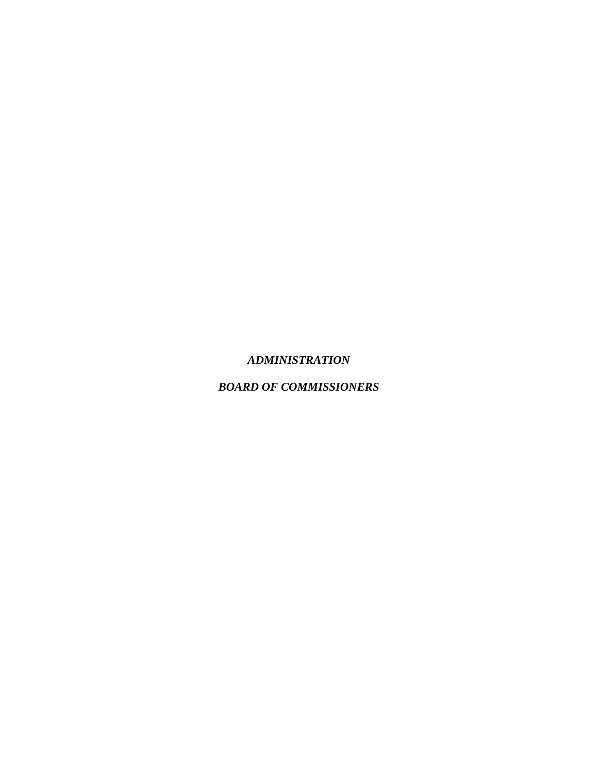#### *ADMINISTRATION*

### *BOARD OF COMMISSIONERS*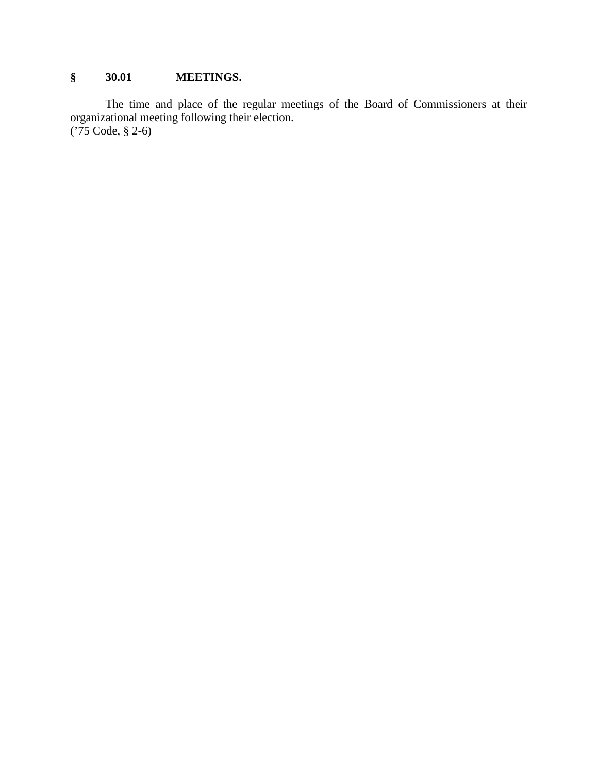# **§ 30.01 MEETINGS.**

The time and place of the regular meetings of the Board of Commissioners at their organizational meeting following their election. ('75 Code, § 2-6)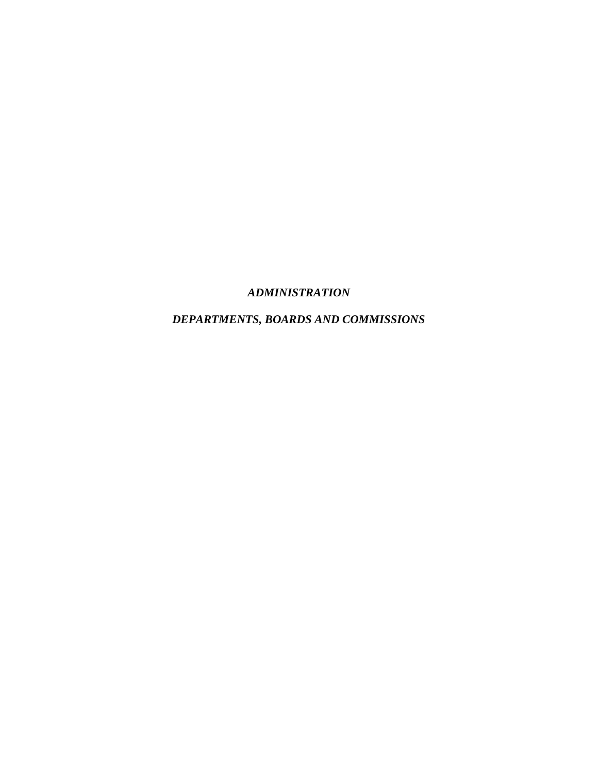# *ADMINISTRATION*

# *DEPARTMENTS, BOARDS AND COMMISSIONS*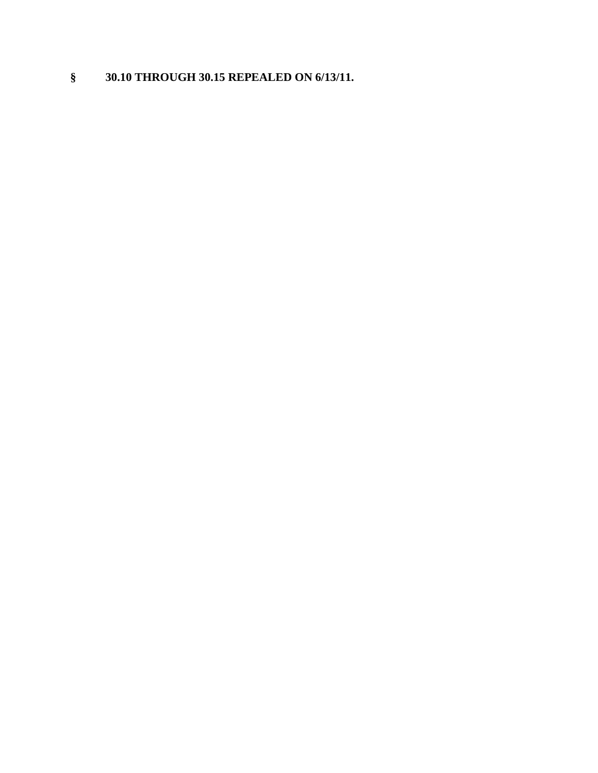# **§ 30.10 THROUGH 30.15 REPEALED ON 6/13/11.**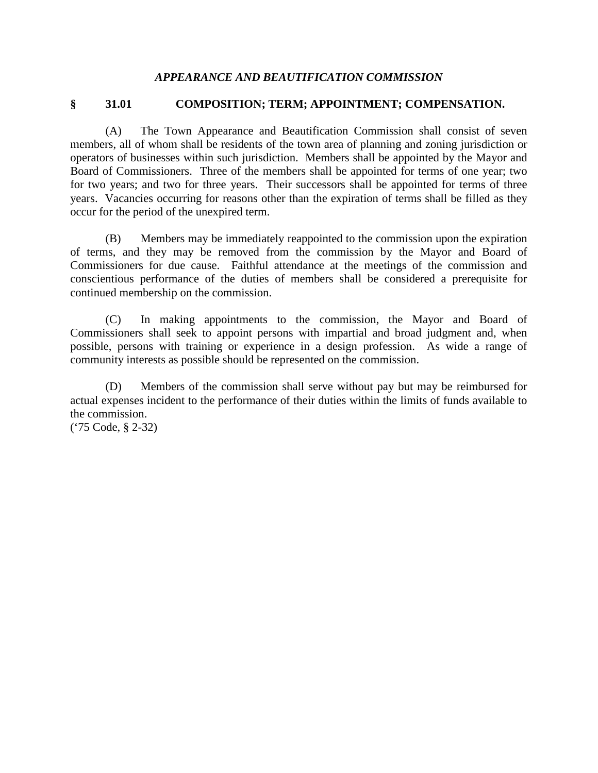#### *APPEARANCE AND BEAUTIFICATION COMMISSION*

#### **§ 31.01 COMPOSITION; TERM; APPOINTMENT; COMPENSATION.**

(A) The Town Appearance and Beautification Commission shall consist of seven members, all of whom shall be residents of the town area of planning and zoning jurisdiction or operators of businesses within such jurisdiction. Members shall be appointed by the Mayor and Board of Commissioners. Three of the members shall be appointed for terms of one year; two for two years; and two for three years. Their successors shall be appointed for terms of three years. Vacancies occurring for reasons other than the expiration of terms shall be filled as they occur for the period of the unexpired term.

(B) Members may be immediately reappointed to the commission upon the expiration of terms, and they may be removed from the commission by the Mayor and Board of Commissioners for due cause. Faithful attendance at the meetings of the commission and conscientious performance of the duties of members shall be considered a prerequisite for continued membership on the commission.

(C) In making appointments to the commission, the Mayor and Board of Commissioners shall seek to appoint persons with impartial and broad judgment and, when possible, persons with training or experience in a design profession. As wide a range of community interests as possible should be represented on the commission.

(D) Members of the commission shall serve without pay but may be reimbursed for actual expenses incident to the performance of their duties within the limits of funds available to the commission.

('75 Code, § 2-32)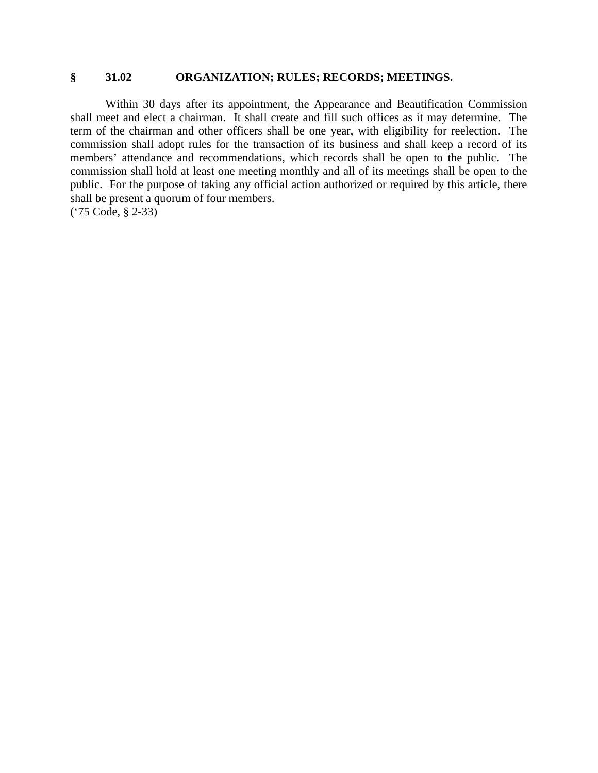# **§ 31.02 ORGANIZATION; RULES; RECORDS; MEETINGS.**

Within 30 days after its appointment, the Appearance and Beautification Commission shall meet and elect a chairman. It shall create and fill such offices as it may determine. The term of the chairman and other officers shall be one year, with eligibility for reelection. The commission shall adopt rules for the transaction of its business and shall keep a record of its members' attendance and recommendations, which records shall be open to the public. The commission shall hold at least one meeting monthly and all of its meetings shall be open to the public. For the purpose of taking any official action authorized or required by this article, there shall be present a quorum of four members. ('75 Code, § 2-33)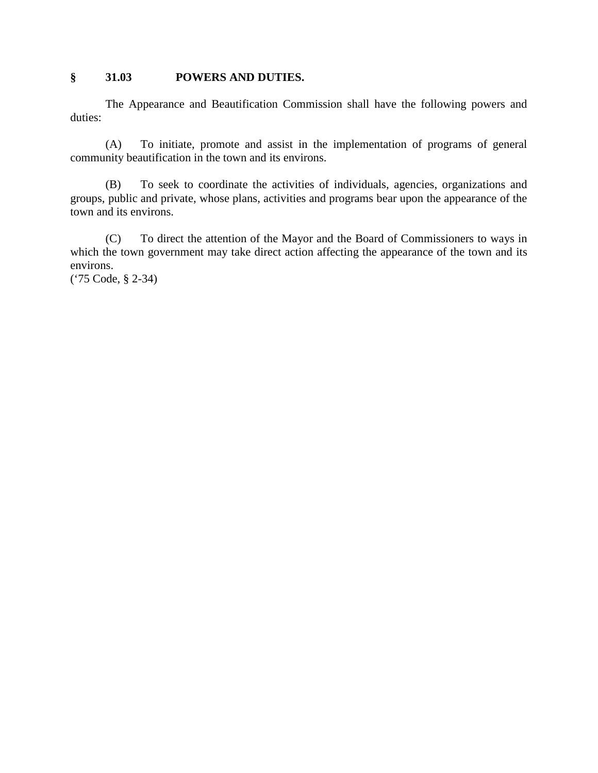### **§ 31.03 POWERS AND DUTIES.**

The Appearance and Beautification Commission shall have the following powers and duties:

(A) To initiate, promote and assist in the implementation of programs of general community beautification in the town and its environs.

(B) To seek to coordinate the activities of individuals, agencies, organizations and groups, public and private, whose plans, activities and programs bear upon the appearance of the town and its environs.

(C) To direct the attention of the Mayor and the Board of Commissioners to ways in which the town government may take direct action affecting the appearance of the town and its environs.

('75 Code, § 2-34)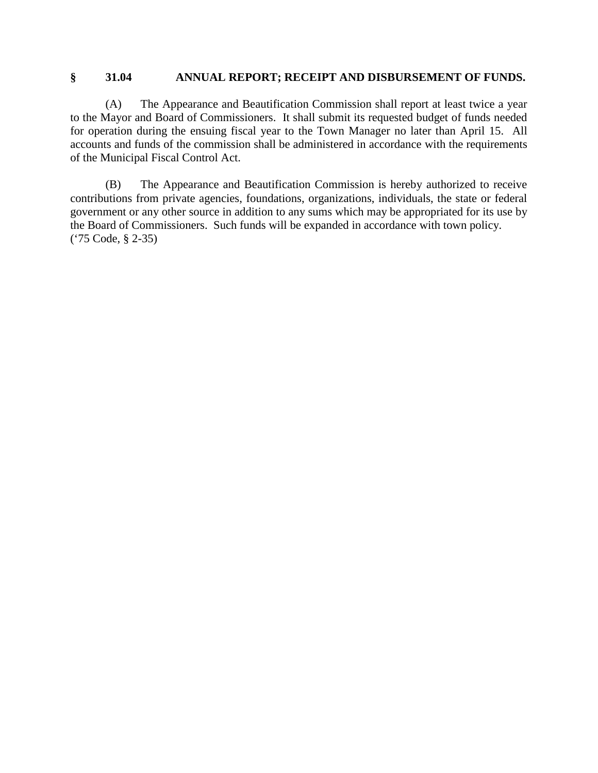#### **§ 31.04 ANNUAL REPORT; RECEIPT AND DISBURSEMENT OF FUNDS.**

(A) The Appearance and Beautification Commission shall report at least twice a year to the Mayor and Board of Commissioners. It shall submit its requested budget of funds needed for operation during the ensuing fiscal year to the Town Manager no later than April 15. All accounts and funds of the commission shall be administered in accordance with the requirements of the Municipal Fiscal Control Act.

(B) The Appearance and Beautification Commission is hereby authorized to receive contributions from private agencies, foundations, organizations, individuals, the state or federal government or any other source in addition to any sums which may be appropriated for its use by the Board of Commissioners. Such funds will be expanded in accordance with town policy. ('75 Code, § 2-35)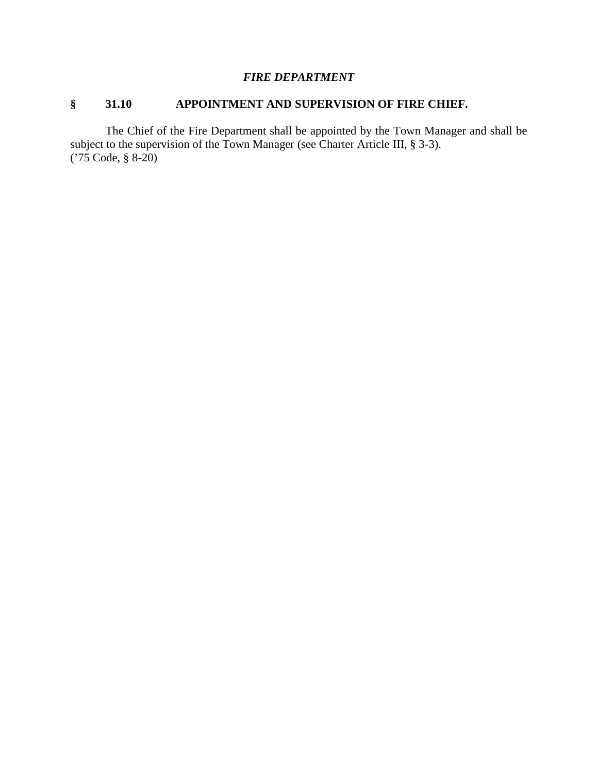### *FIRE DEPARTMENT*

### **§ 31.10 APPOINTMENT AND SUPERVISION OF FIRE CHIEF.**

The Chief of the Fire Department shall be appointed by the Town Manager and shall be subject to the supervision of the Town Manager (see Charter Article III, § 3-3). ('75 Code, § 8-20)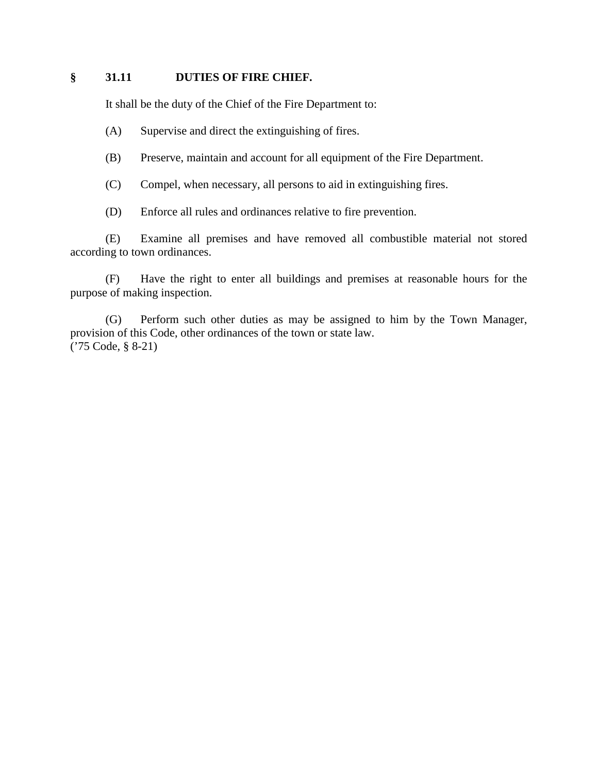#### **§ 31.11 DUTIES OF FIRE CHIEF.**

It shall be the duty of the Chief of the Fire Department to:

- (A) Supervise and direct the extinguishing of fires.
- (B) Preserve, maintain and account for all equipment of the Fire Department.
- (C) Compel, when necessary, all persons to aid in extinguishing fires.
- (D) Enforce all rules and ordinances relative to fire prevention.

(E) Examine all premises and have removed all combustible material not stored according to town ordinances.

(F) Have the right to enter all buildings and premises at reasonable hours for the purpose of making inspection.

(G) Perform such other duties as may be assigned to him by the Town Manager, provision of this Code, other ordinances of the town or state law. ('75 Code, § 8-21)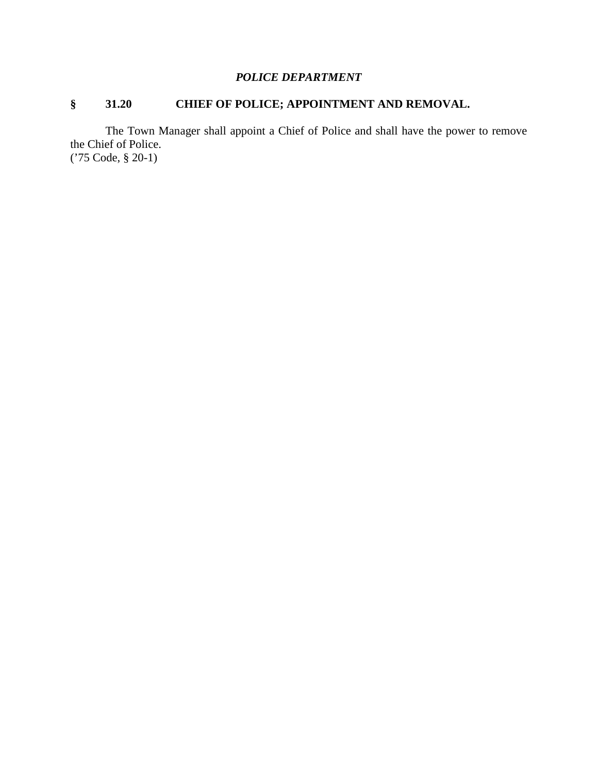# *POLICE DEPARTMENT*

# **§ 31.20 CHIEF OF POLICE; APPOINTMENT AND REMOVAL.**

The Town Manager shall appoint a Chief of Police and shall have the power to remove the Chief of Police. ('75 Code, § 20-1)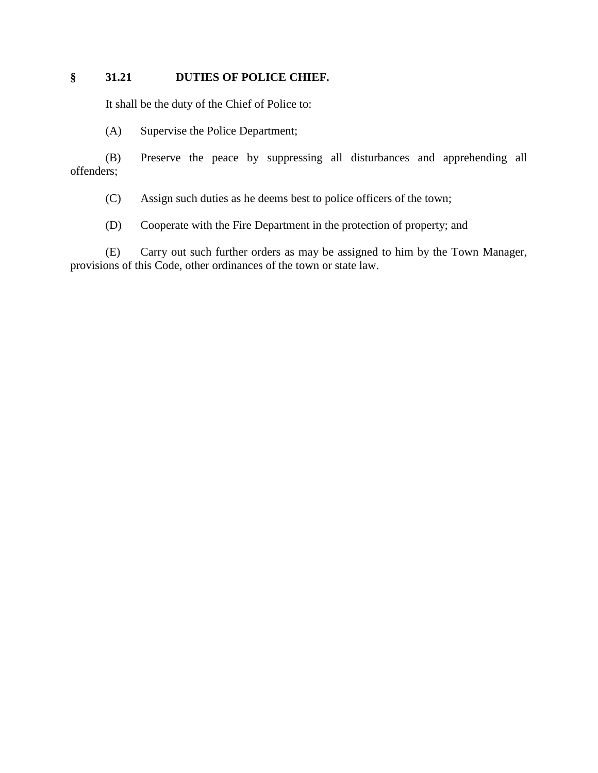### **§ 31.21 DUTIES OF POLICE CHIEF.**

It shall be the duty of the Chief of Police to:

(A) Supervise the Police Department;

(B) Preserve the peace by suppressing all disturbances and apprehending all offenders;

(C) Assign such duties as he deems best to police officers of the town;

(D) Cooperate with the Fire Department in the protection of property; and

(E) Carry out such further orders as may be assigned to him by the Town Manager, provisions of this Code, other ordinances of the town or state law.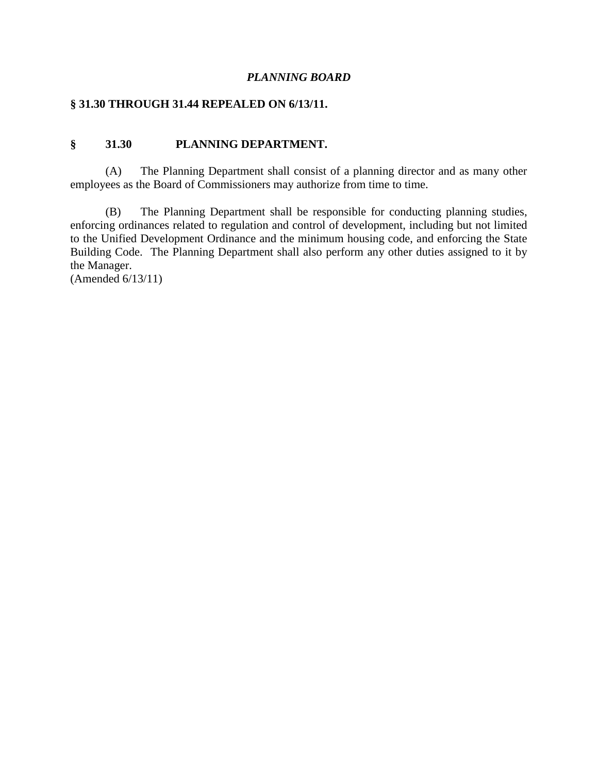#### *PLANNING BOARD*

#### **§ 31.30 THROUGH 31.44 REPEALED ON 6/13/11.**

#### **§ 31.30 PLANNING DEPARTMENT.**

(A) The Planning Department shall consist of a planning director and as many other employees as the Board of Commissioners may authorize from time to time.

(B) The Planning Department shall be responsible for conducting planning studies, enforcing ordinances related to regulation and control of development, including but not limited to the Unified Development Ordinance and the minimum housing code, and enforcing the State Building Code. The Planning Department shall also perform any other duties assigned to it by the Manager.

(Amended 6/13/11)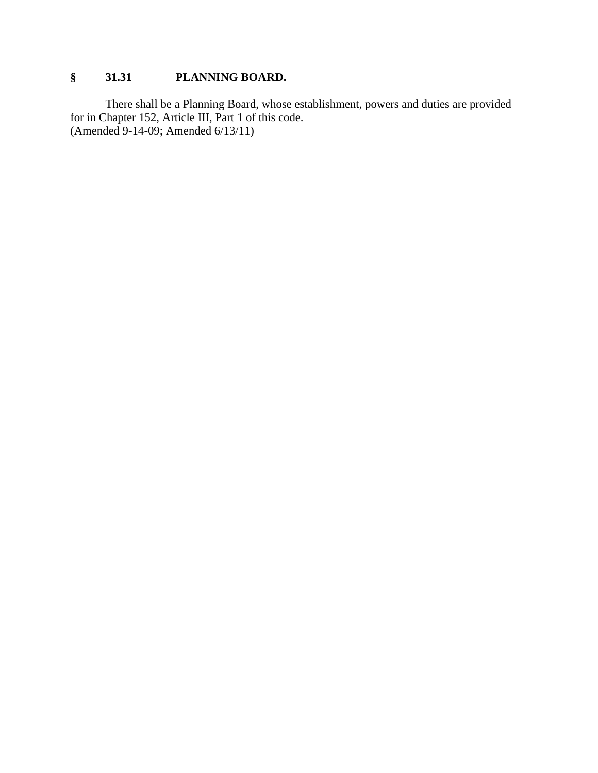# **§ 31.31 PLANNING BOARD.**

There shall be a Planning Board, whose establishment, powers and duties are provided for in Chapter 152, Article III, Part 1 of this code. (Amended 9-14-09; Amended 6/13/11)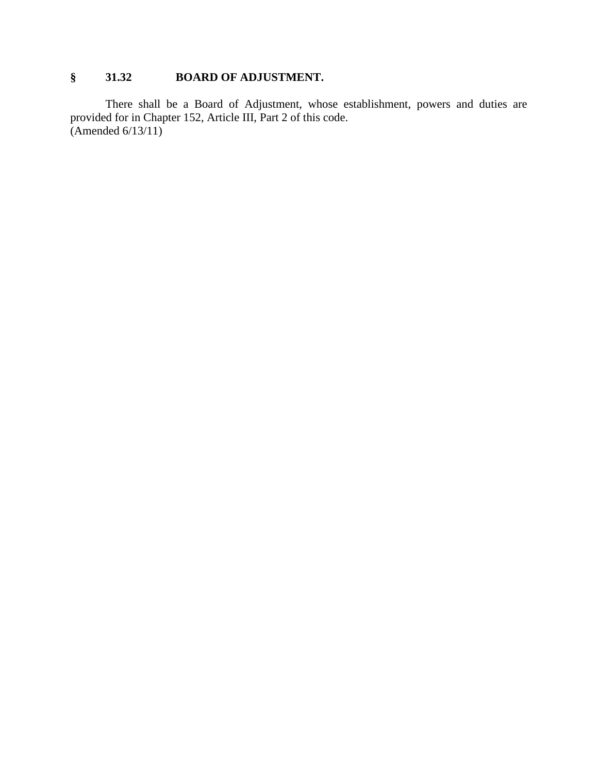# **§ 31.32 BOARD OF ADJUSTMENT.**

There shall be a Board of Adjustment, whose establishment, powers and duties are provided for in Chapter 152, Article III, Part 2 of this code.  $(Amended 6/13/11)$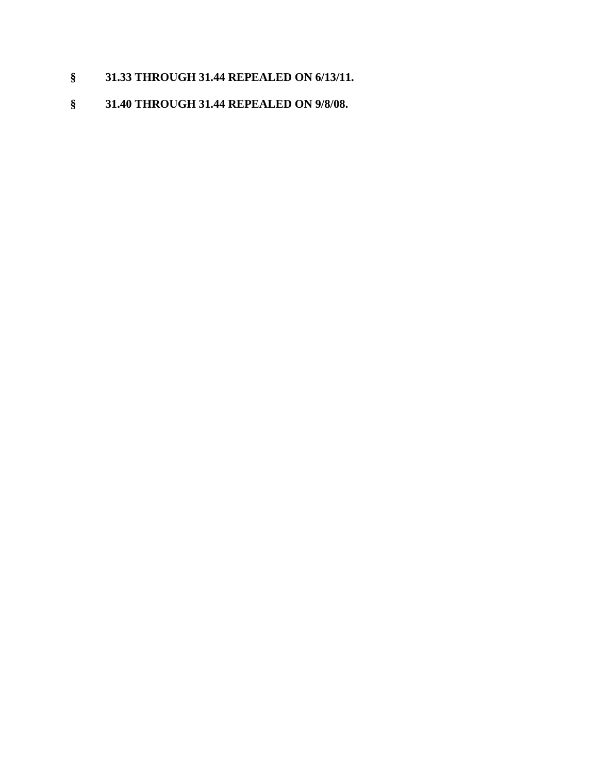# **§ 31.33 THROUGH 31.44 REPEALED ON 6/13/11.**

# **§ 31.40 THROUGH 31.44 REPEALED ON 9/8/08.**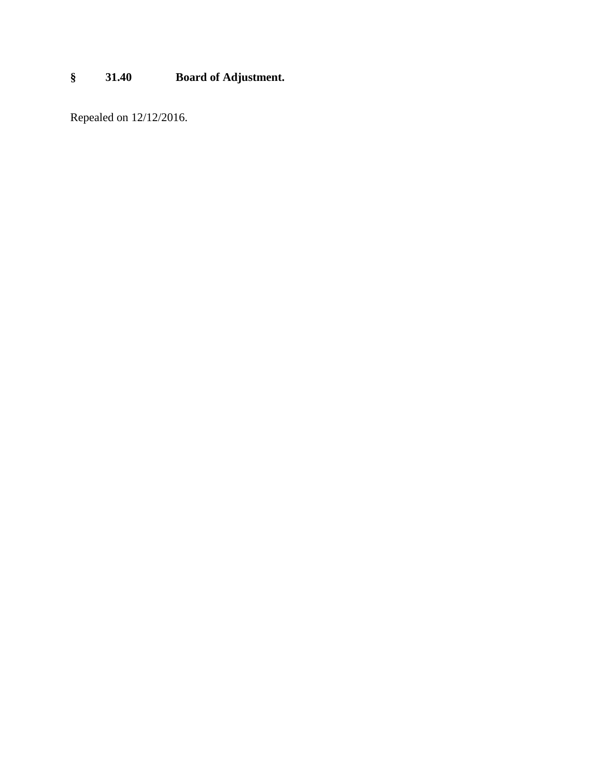# **§ 31.40 Board of Adjustment.**

Repealed on 12/12/2016.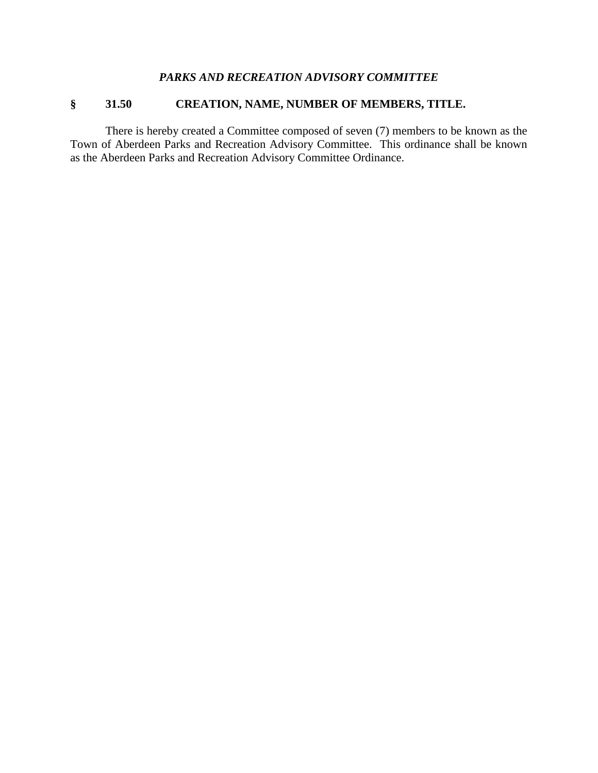### *PARKS AND RECREATION ADVISORY COMMITTEE*

# **§ 31.50 CREATION, NAME, NUMBER OF MEMBERS, TITLE.**

There is hereby created a Committee composed of seven (7) members to be known as the Town of Aberdeen Parks and Recreation Advisory Committee. This ordinance shall be known as the Aberdeen Parks and Recreation Advisory Committee Ordinance.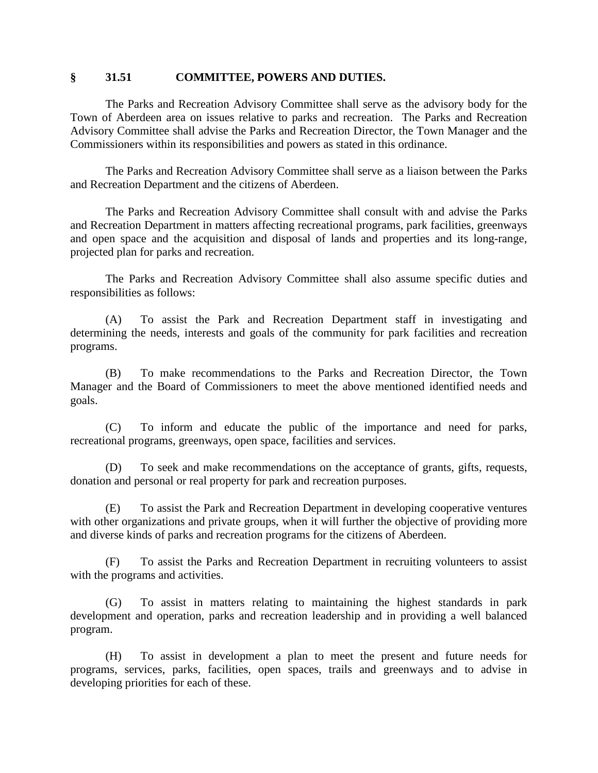#### **§ 31.51 COMMITTEE, POWERS AND DUTIES.**

The Parks and Recreation Advisory Committee shall serve as the advisory body for the Town of Aberdeen area on issues relative to parks and recreation. The Parks and Recreation Advisory Committee shall advise the Parks and Recreation Director, the Town Manager and the Commissioners within its responsibilities and powers as stated in this ordinance.

The Parks and Recreation Advisory Committee shall serve as a liaison between the Parks and Recreation Department and the citizens of Aberdeen.

The Parks and Recreation Advisory Committee shall consult with and advise the Parks and Recreation Department in matters affecting recreational programs, park facilities, greenways and open space and the acquisition and disposal of lands and properties and its long-range, projected plan for parks and recreation.

The Parks and Recreation Advisory Committee shall also assume specific duties and responsibilities as follows:

(A) To assist the Park and Recreation Department staff in investigating and determining the needs, interests and goals of the community for park facilities and recreation programs.

(B) To make recommendations to the Parks and Recreation Director, the Town Manager and the Board of Commissioners to meet the above mentioned identified needs and goals.

(C) To inform and educate the public of the importance and need for parks, recreational programs, greenways, open space, facilities and services.

(D) To seek and make recommendations on the acceptance of grants, gifts, requests, donation and personal or real property for park and recreation purposes.

(E) To assist the Park and Recreation Department in developing cooperative ventures with other organizations and private groups, when it will further the objective of providing more and diverse kinds of parks and recreation programs for the citizens of Aberdeen.

(F) To assist the Parks and Recreation Department in recruiting volunteers to assist with the programs and activities.

(G) To assist in matters relating to maintaining the highest standards in park development and operation, parks and recreation leadership and in providing a well balanced program.

(H) To assist in development a plan to meet the present and future needs for programs, services, parks, facilities, open spaces, trails and greenways and to advise in developing priorities for each of these.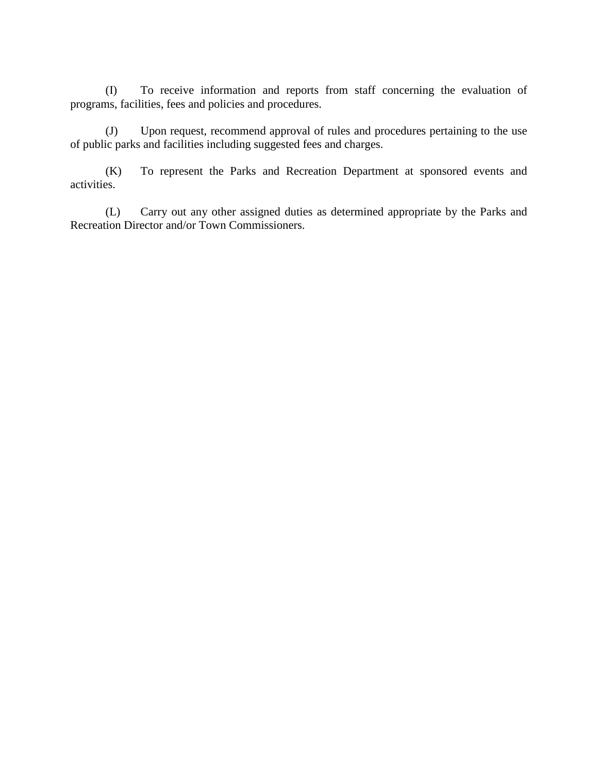(I) To receive information and reports from staff concerning the evaluation of programs, facilities, fees and policies and procedures.

(J) Upon request, recommend approval of rules and procedures pertaining to the use of public parks and facilities including suggested fees and charges.

(K) To represent the Parks and Recreation Department at sponsored events and activities.

(L) Carry out any other assigned duties as determined appropriate by the Parks and Recreation Director and/or Town Commissioners.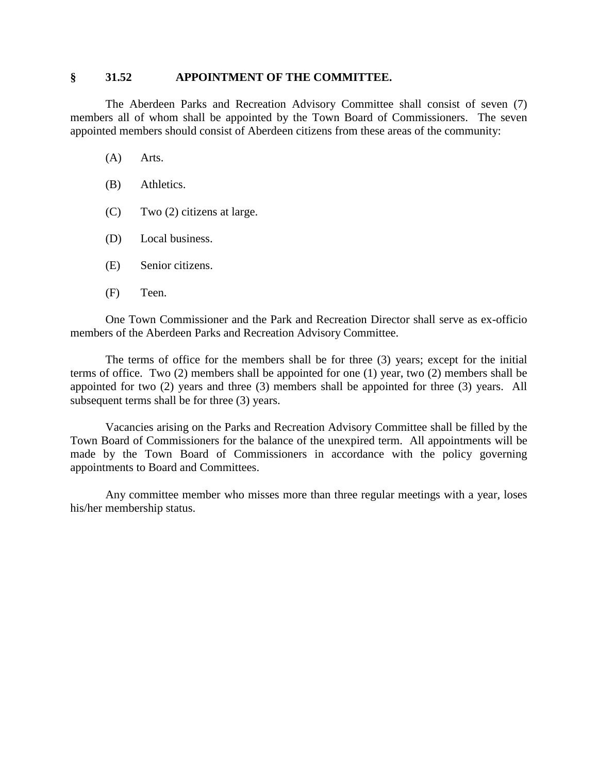#### **§ 31.52 APPOINTMENT OF THE COMMITTEE.**

The Aberdeen Parks and Recreation Advisory Committee shall consist of seven (7) members all of whom shall be appointed by the Town Board of Commissioners. The seven appointed members should consist of Aberdeen citizens from these areas of the community:

- (A) Arts.
- (B) Athletics.
- (C) Two (2) citizens at large.
- (D) Local business.
- (E) Senior citizens.
- (F) Teen.

One Town Commissioner and the Park and Recreation Director shall serve as ex-officio members of the Aberdeen Parks and Recreation Advisory Committee.

The terms of office for the members shall be for three (3) years; except for the initial terms of office. Two (2) members shall be appointed for one (1) year, two (2) members shall be appointed for two (2) years and three (3) members shall be appointed for three (3) years. All subsequent terms shall be for three (3) years.

Vacancies arising on the Parks and Recreation Advisory Committee shall be filled by the Town Board of Commissioners for the balance of the unexpired term. All appointments will be made by the Town Board of Commissioners in accordance with the policy governing appointments to Board and Committees.

Any committee member who misses more than three regular meetings with a year, loses his/her membership status.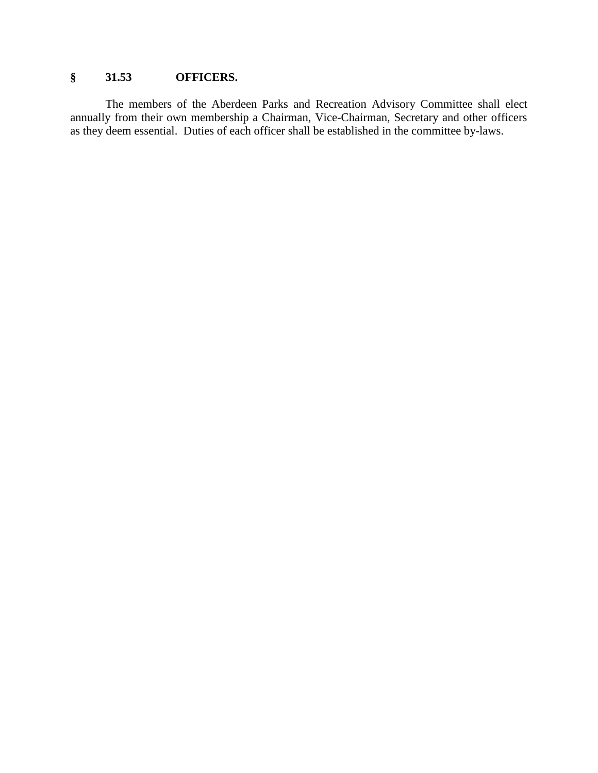### **§ 31.53 OFFICERS.**

The members of the Aberdeen Parks and Recreation Advisory Committee shall elect annually from their own membership a Chairman, Vice-Chairman, Secretary and other officers as they deem essential. Duties of each officer shall be established in the committee by-laws.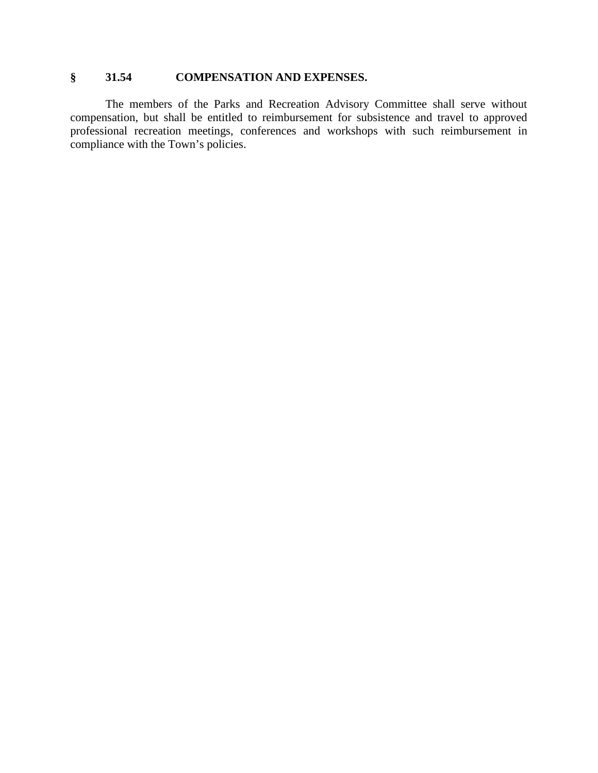### **§ 31.54 COMPENSATION AND EXPENSES.**

The members of the Parks and Recreation Advisory Committee shall serve without compensation, but shall be entitled to reimbursement for subsistence and travel to approved professional recreation meetings, conferences and workshops with such reimbursement in compliance with the Town's policies.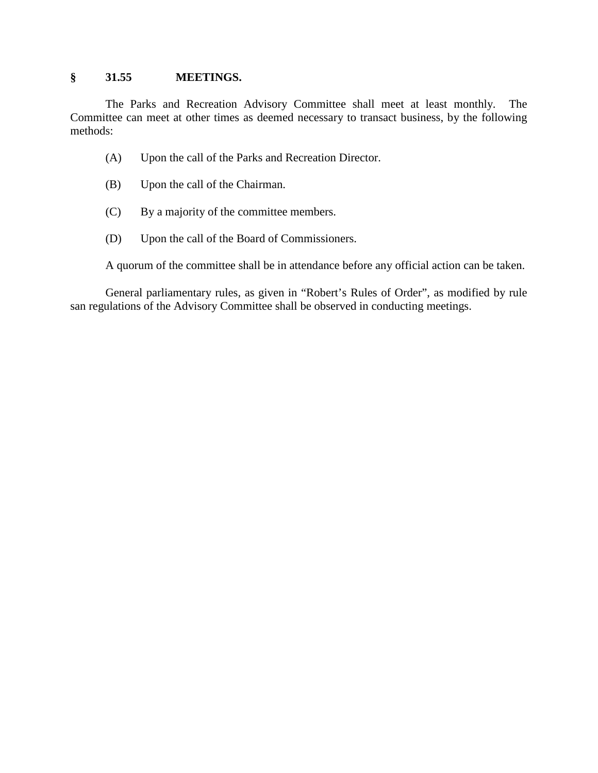#### **§ 31.55 MEETINGS.**

The Parks and Recreation Advisory Committee shall meet at least monthly. The Committee can meet at other times as deemed necessary to transact business, by the following methods:

- (A) Upon the call of the Parks and Recreation Director.
- (B) Upon the call of the Chairman.
- (C) By a majority of the committee members.
- (D) Upon the call of the Board of Commissioners.

A quorum of the committee shall be in attendance before any official action can be taken.

General parliamentary rules, as given in "Robert's Rules of Order", as modified by rule san regulations of the Advisory Committee shall be observed in conducting meetings.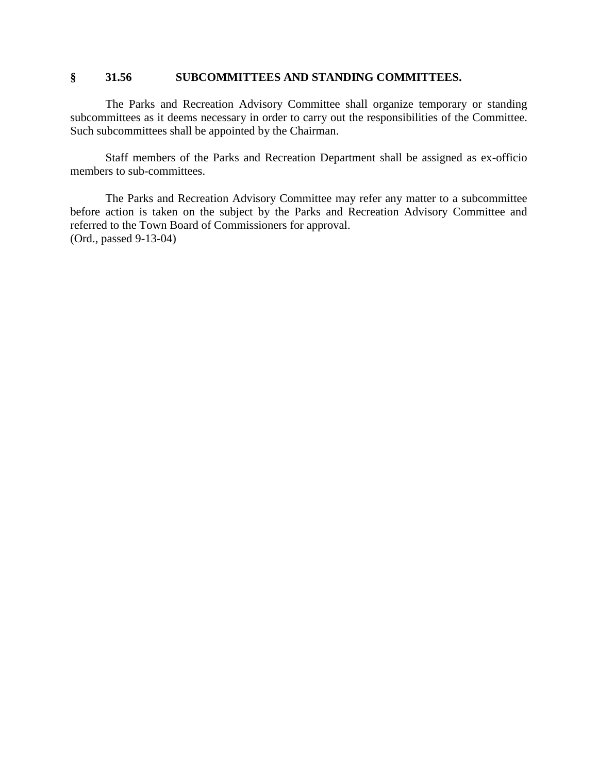#### **§ 31.56 SUBCOMMITTEES AND STANDING COMMITTEES.**

The Parks and Recreation Advisory Committee shall organize temporary or standing subcommittees as it deems necessary in order to carry out the responsibilities of the Committee. Such subcommittees shall be appointed by the Chairman.

Staff members of the Parks and Recreation Department shall be assigned as ex-officio members to sub-committees.

The Parks and Recreation Advisory Committee may refer any matter to a subcommittee before action is taken on the subject by the Parks and Recreation Advisory Committee and referred to the Town Board of Commissioners for approval. (Ord., passed 9-13-04)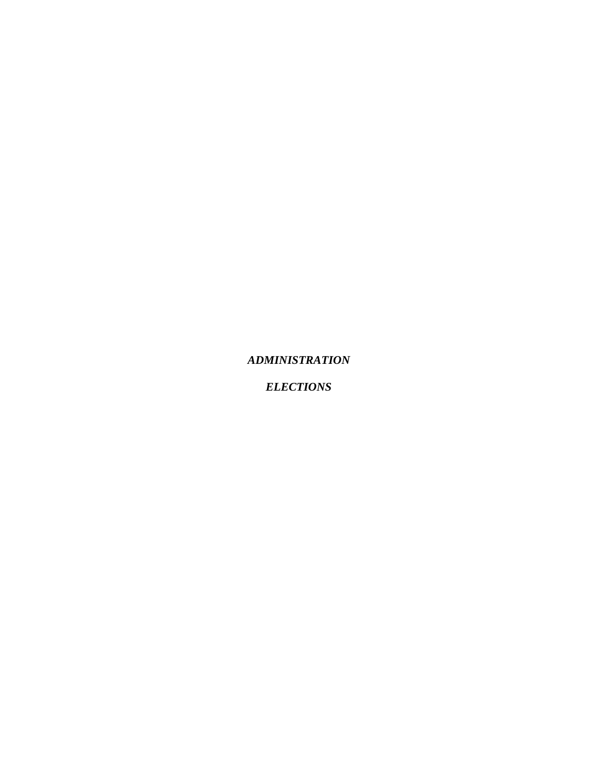*ADMINISTRATION*

*ELECTIONS*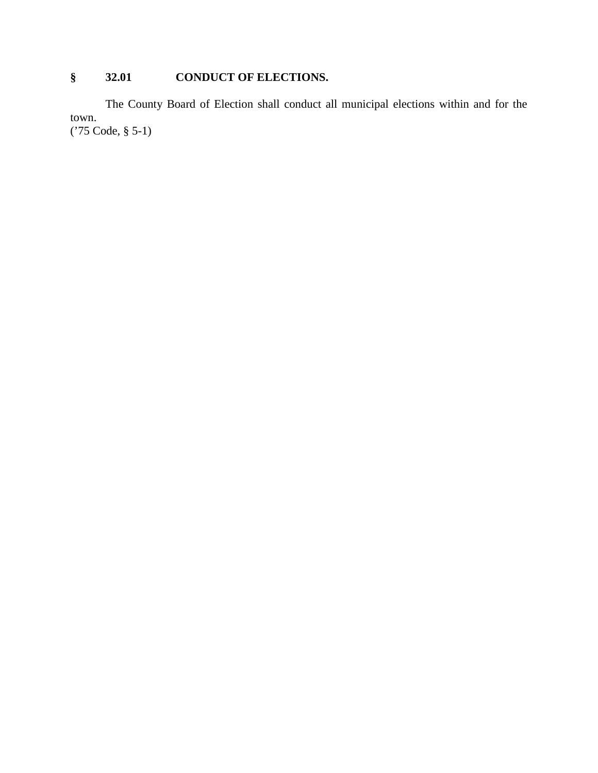# **§ 32.01 CONDUCT OF ELECTIONS.**

The County Board of Election shall conduct all municipal elections within and for the town. ('75 Code, § 5-1)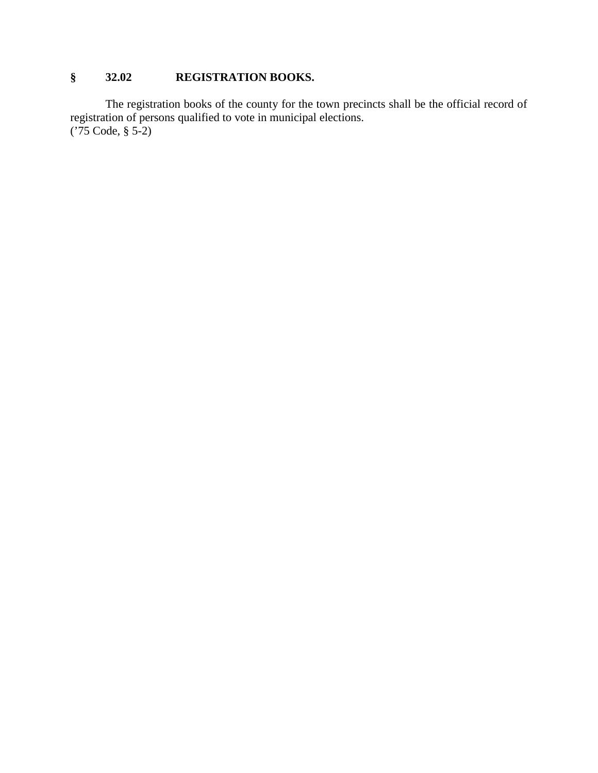# **§ 32.02 REGISTRATION BOOKS.**

The registration books of the county for the town precincts shall be the official record of registration of persons qualified to vote in municipal elections. ('75 Code, § 5-2)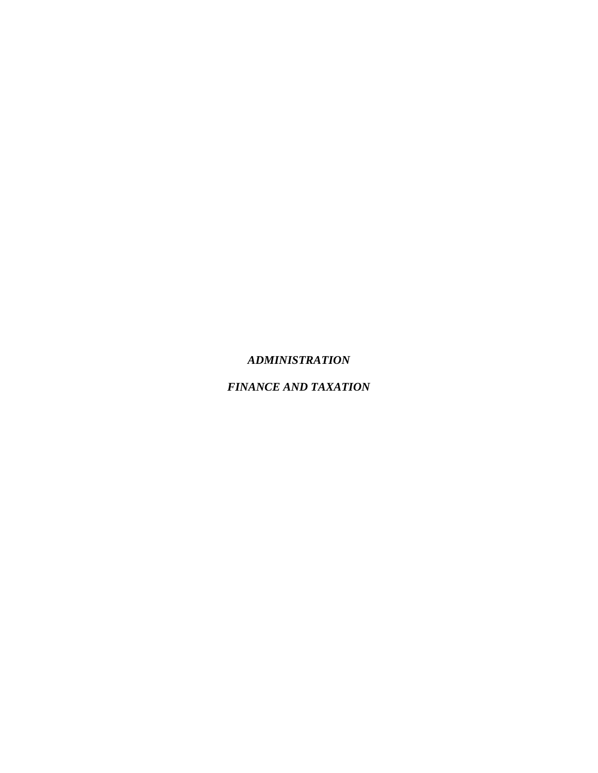#### *ADMINISTRATION*

# *FINANCE AND TAXATION*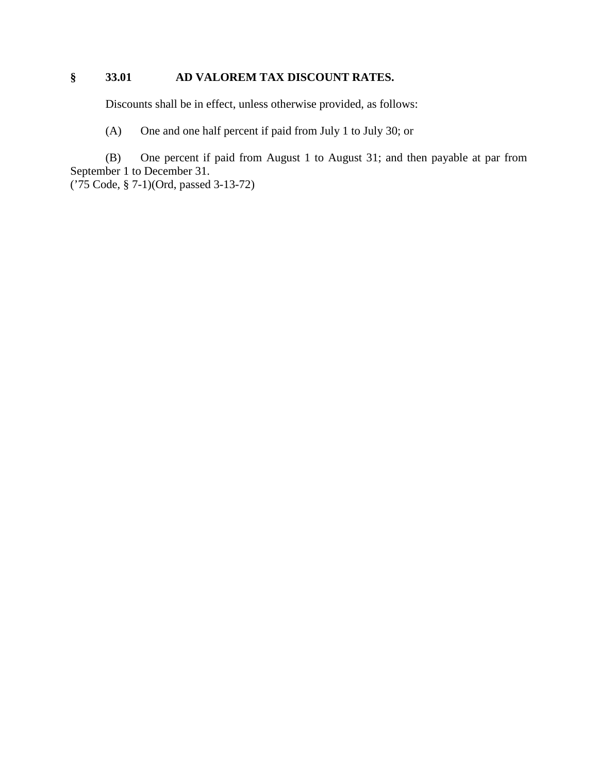# **§ 33.01 AD VALOREM TAX DISCOUNT RATES.**

Discounts shall be in effect, unless otherwise provided, as follows:

(A) One and one half percent if paid from July 1 to July 30; or

(B) One percent if paid from August 1 to August 31; and then payable at par from September 1 to December 31.

('75 Code, § 7-1)(Ord, passed 3-13-72)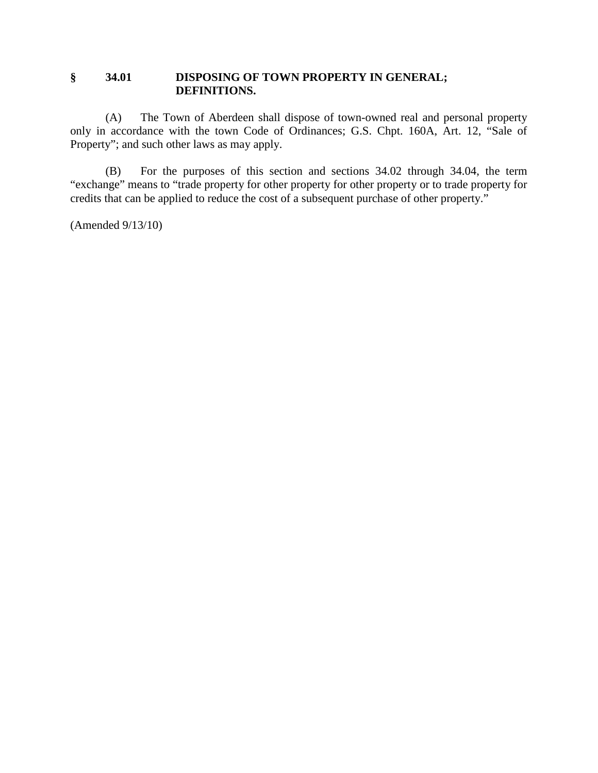### **§ 34.01 DISPOSING OF TOWN PROPERTY IN GENERAL; DEFINITIONS.**

(A) The Town of Aberdeen shall dispose of town-owned real and personal property only in accordance with the town Code of Ordinances; G.S. Chpt. 160A, Art. 12, "Sale of Property"; and such other laws as may apply.

(B) For the purposes of this section and sections 34.02 through 34.04, the term "exchange" means to "trade property for other property for other property or to trade property for credits that can be applied to reduce the cost of a subsequent purchase of other property."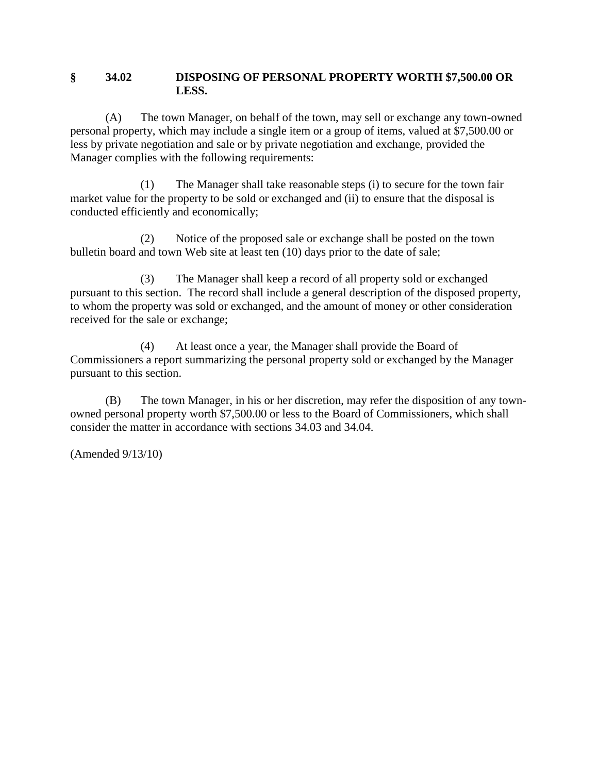#### **§ 34.02 DISPOSING OF PERSONAL PROPERTY WORTH \$7,500.00 OR LESS.**

(A) The town Manager, on behalf of the town, may sell or exchange any town-owned personal property, which may include a single item or a group of items, valued at \$7,500.00 or less by private negotiation and sale or by private negotiation and exchange, provided the Manager complies with the following requirements:

(1) The Manager shall take reasonable steps (i) to secure for the town fair market value for the property to be sold or exchanged and (ii) to ensure that the disposal is conducted efficiently and economically;

(2) Notice of the proposed sale or exchange shall be posted on the town bulletin board and town Web site at least ten (10) days prior to the date of sale;

(3) The Manager shall keep a record of all property sold or exchanged pursuant to this section. The record shall include a general description of the disposed property, to whom the property was sold or exchanged, and the amount of money or other consideration received for the sale or exchange;

(4) At least once a year, the Manager shall provide the Board of Commissioners a report summarizing the personal property sold or exchanged by the Manager pursuant to this section.

(B) The town Manager, in his or her discretion, may refer the disposition of any townowned personal property worth \$7,500.00 or less to the Board of Commissioners, which shall consider the matter in accordance with sections 34.03 and 34.04.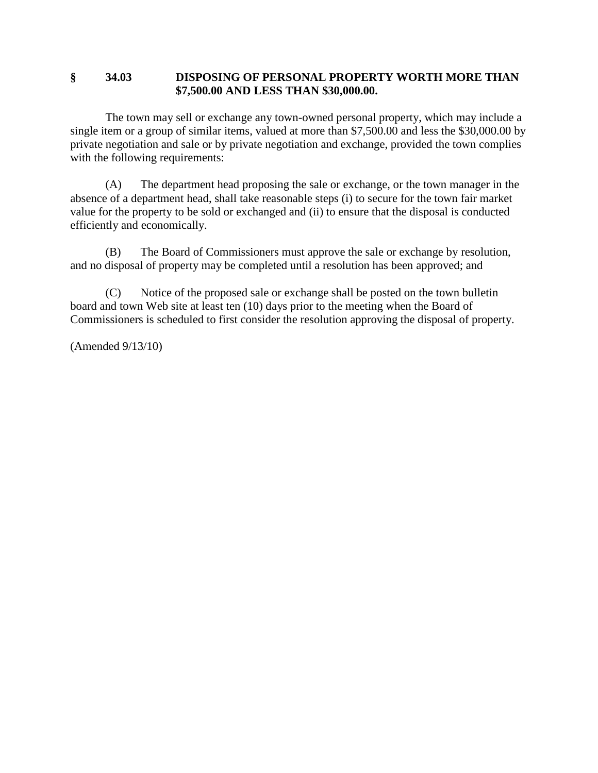#### **§ 34.03 DISPOSING OF PERSONAL PROPERTY WORTH MORE THAN \$7,500.00 AND LESS THAN \$30,000.00.**

The town may sell or exchange any town-owned personal property, which may include a single item or a group of similar items, valued at more than \$7,500.00 and less the \$30,000.00 by private negotiation and sale or by private negotiation and exchange, provided the town complies with the following requirements:

(A) The department head proposing the sale or exchange, or the town manager in the absence of a department head, shall take reasonable steps (i) to secure for the town fair market value for the property to be sold or exchanged and (ii) to ensure that the disposal is conducted efficiently and economically.

(B) The Board of Commissioners must approve the sale or exchange by resolution, and no disposal of property may be completed until a resolution has been approved; and

(C) Notice of the proposed sale or exchange shall be posted on the town bulletin board and town Web site at least ten (10) days prior to the meeting when the Board of Commissioners is scheduled to first consider the resolution approving the disposal of property.